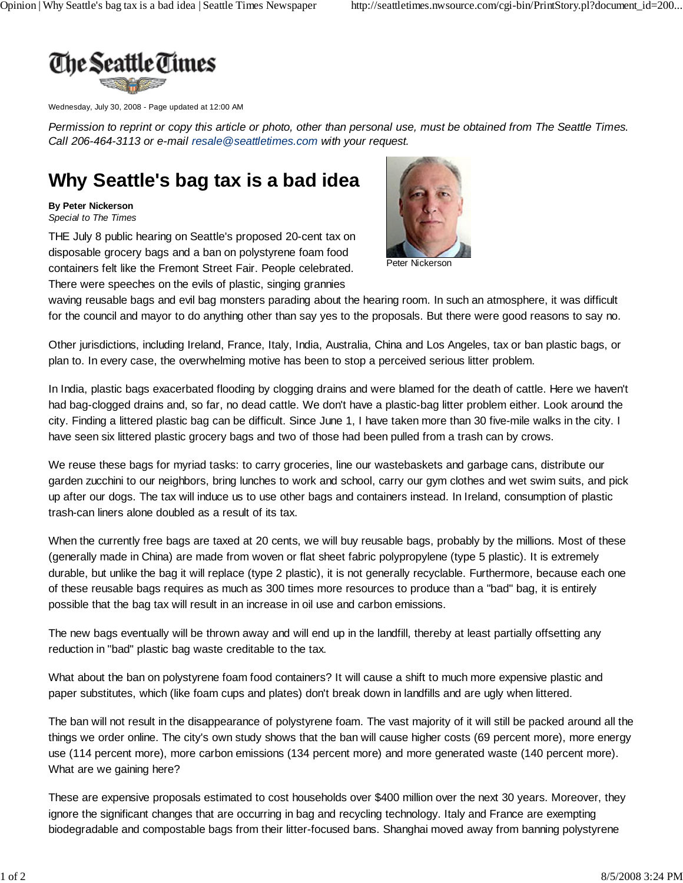

Wednesday, July 30, 2008 - Page updated at 12:00 AM

*Permission to reprint or copy this article or photo, other than personal use, must be obtained from The Seattle Times. Call 206-464-3113 or e-mail resale@seattletimes.com with your request.*

## **Why Seattle's bag tax is a bad idea**

## **By Peter Nickerson**

*Special to The Times*

THE July 8 public hearing on Seattle's proposed 20-cent tax on disposable grocery bags and a ban on polystyrene foam food containers felt like the Fremont Street Fair. People celebrated. There were speeches on the evils of plastic, singing grannies



Peter Nickerson

waving reusable bags and evil bag monsters parading about the hearing room. In such an atmosphere, it was difficult for the council and mayor to do anything other than say yes to the proposals. But there were good reasons to say no.

Other jurisdictions, including Ireland, France, Italy, India, Australia, China and Los Angeles, tax or ban plastic bags, or plan to. In every case, the overwhelming motive has been to stop a perceived serious litter problem.

In India, plastic bags exacerbated flooding by clogging drains and were blamed for the death of cattle. Here we haven't had bag-clogged drains and, so far, no dead cattle. We don't have a plastic-bag litter problem either. Look around the city. Finding a littered plastic bag can be difficult. Since June 1, I have taken more than 30 five-mile walks in the city. I have seen six littered plastic grocery bags and two of those had been pulled from a trash can by crows.

We reuse these bags for myriad tasks: to carry groceries, line our wastebaskets and garbage cans, distribute our garden zucchini to our neighbors, bring lunches to work and school, carry our gym clothes and wet swim suits, and pick up after our dogs. The tax will induce us to use other bags and containers instead. In Ireland, consumption of plastic trash-can liners alone doubled as a result of its tax.

When the currently free bags are taxed at 20 cents, we will buy reusable bags, probably by the millions. Most of these (generally made in China) are made from woven or flat sheet fabric polypropylene (type 5 plastic). It is extremely durable, but unlike the bag it will replace (type 2 plastic), it is not generally recyclable. Furthermore, because each one of these reusable bags requires as much as 300 times more resources to produce than a "bad" bag, it is entirely possible that the bag tax will result in an increase in oil use and carbon emissions.

The new bags eventually will be thrown away and will end up in the landfill, thereby at least partially offsetting any reduction in "bad" plastic bag waste creditable to the tax.

What about the ban on polystyrene foam food containers? It will cause a shift to much more expensive plastic and paper substitutes, which (like foam cups and plates) don't break down in landfills and are ugly when littered.

The ban will not result in the disappearance of polystyrene foam. The vast majority of it will still be packed around all the things we order online. The city's own study shows that the ban will cause higher costs (69 percent more), more energy use (114 percent more), more carbon emissions (134 percent more) and more generated waste (140 percent more). What are we gaining here?

These are expensive proposals estimated to cost households over \$400 million over the next 30 years. Moreover, they ignore the significant changes that are occurring in bag and recycling technology. Italy and France are exempting biodegradable and compostable bags from their litter-focused bans. Shanghai moved away from banning polystyrene